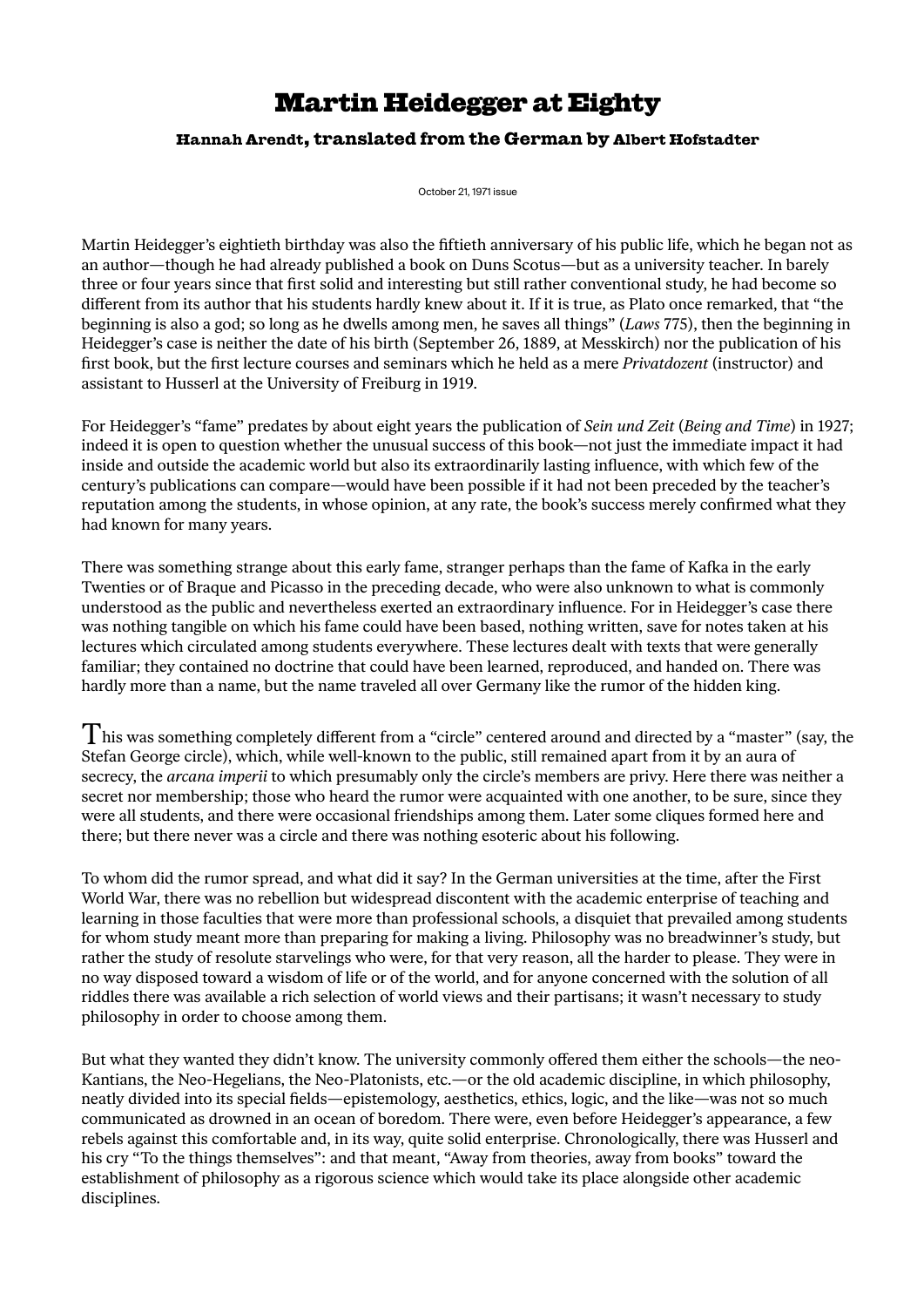# Martin Heidegger at Eighty

### [Hannah](https://www.nybooks.com/contributors/hannah-arendt/) Arendt, translated from the German by Albert [Hofstadter](https://www.nybooks.com/contributors/albert-hofstadter/)

October 21, 1971 issue

Martin Heideger's eightieth birthday was also the fiftieth anniversary of his public life, which he began not as an author—though he had already published a book on Duns Scotus—but as a university teacher. In barely three or four years since that first solid and interesting but still rather conventional study, he had become so different from its author that his students hardly knew about it. If it is true, as Plato once remarked, that "the beginning is also a god; so long as he dwells among men, he saves all things" (Laws 775), then the beginning in Heideger's case is neither the date of his birth (September 26, 1889, at Messkirch) nor the publication of his first book, but the first lecture courses and seminars which he held as a mere Privatdozent (instructor) and assistant to Husserl at the University of Freiburg in 1919.

There was something strange about this early fame, stranger perhaps than the fame of Kafka in the early Twenties or of Braque and Picasso in the preceding decade, who were also unknown to what is commonly understood as the public and nevertheless exerted an extraordinary influence. For in Heideger's case there was nothing tangible on which his fame could have been based, nothing written, save for notes taken at his lectures which circulated among students everywhere. These lectures dealt with texts that were generally familiar; they contained no doctrine that could have been learned, reproduced, and handed on. There was hardly more than a name, but the name traveled all over Germany like the rumor of the hidden king.

For Heideger's "fame" predates by about eight years the publication of Sein und Zeit (Being and Time) in 1927; indeed it is open to question whether the unusual success of this book—not just the immediate impact it had inside and outside the academic world but also its extraordinarily lasting influence, with which few of the century's publications can compare—would have been possible if it had not been preceded by the teacher's reputation among the students, in whose opinion, at any rate, the book's success merely confirmed what they had known for many years.

 $T$ his was something completely different from a "circle" centered around and directed by a "master" (say, the Stefan George circle), which, while well-known to the public, still remained apart from it by an aura of secrecy, the arcana imperii to which presumably only the circle's members are privy. Here there was neither a secret nor membership; those who heard the rumor were acquainted with one another, to be sure, since they were all students, and there were occasional friendships among them. Later some cliques formed here and there; but there never was a circle and there was nothing esoteric about his following.

But what they wanted they didn't know. The university commonly offered them either the schools—the neo-Kantians, the Neo-Hegelians, the Neo-Platonists, etc.—or the old academic discipline, in which philosophy, neatly divided into its special fields—epistemology, aesthetics, ethics, logic, and the like—was not so much communicated as drowned in an ocean of boredom. There were, even before Heideger's appearance, a few rebels against this comfortable and, in its way, quite solid enterprise. Chronologically, there was Husserl and his cry "To the things themselves": and that meant, "Away from theories, away from books" toward the establishment of philosophy as a rigorous science which would take its place alongside other academic disciplines.

To whom did the rumor spread, and what did it say? In the German universities at the time, after the First World War, there was no rebellion but widespread discontent with the academic enterprise of teaching and learning in those faculties that were more than professional schools, a disquiet that prevailed among students for whom study meant more than preparing for making a living. Philosophy was no breadwinner's study, but rather the study of resolute starvelings who were, for that very reason, all the harder to please. They were in no way disposed toward a wisdom of life or of the world, and for anyone concerned with the solution of all

riddles there was available a rich selection of world views and their partisans; it wasn't necessary to study philosophy in order to choose among them.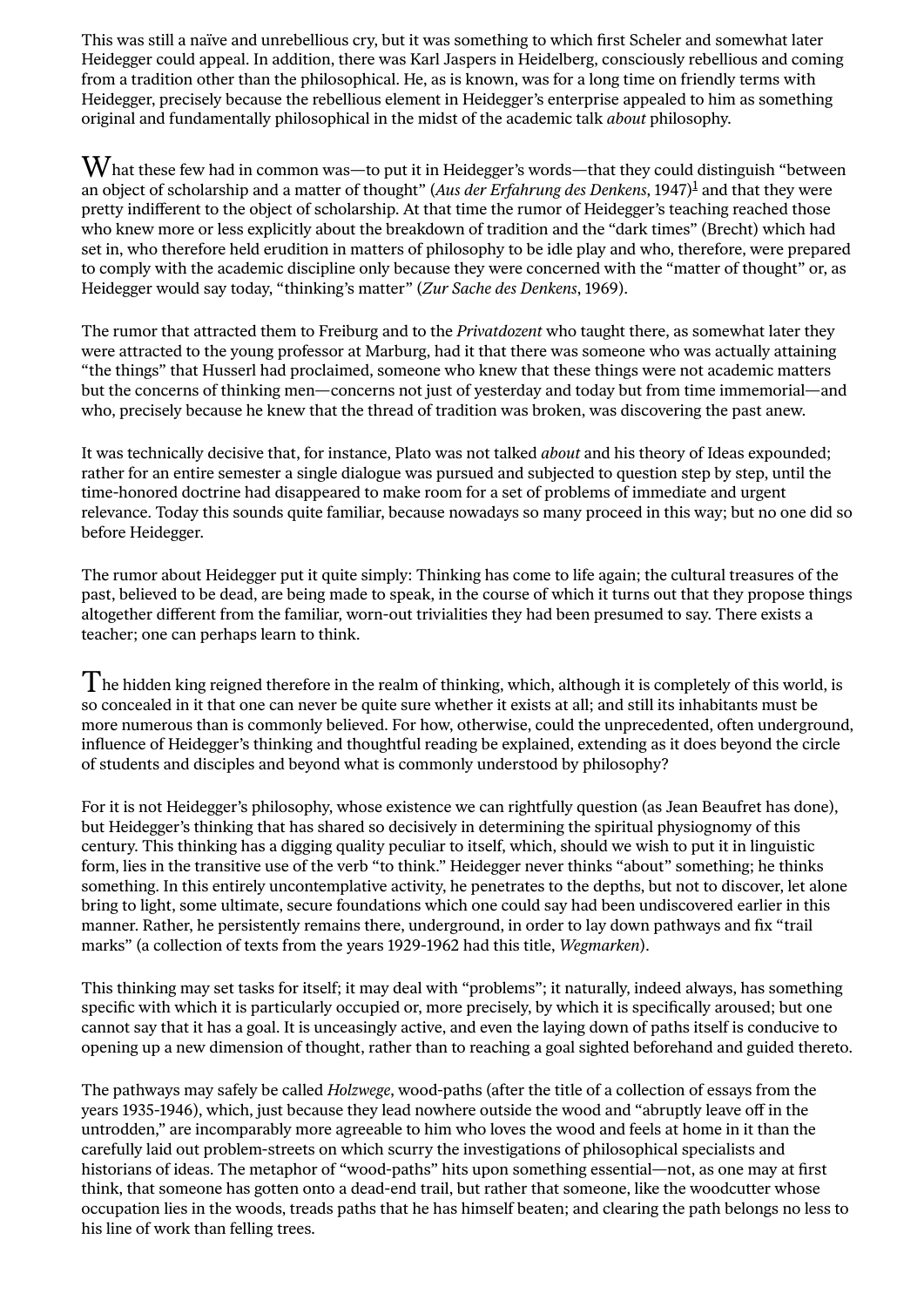This was still a naïve and unrebellious cry, but it was something to which first Scheler and somewhat later Heideger could appeal. In addition, there was Karl Jaspers in Heidelberg, consciously rebellious and coming from a tradition other than the philosophical. He, as is known, was for a long time on friendly terms with Heideger, precisely because the rebellious element in Heideger's enterprise appealed to him as something original and fundamentally philosophical in the midst of the academic talk about philosophy.

 $W$ hat these few had in common was—to put it in Heidegger's words—that they could distinguish "between an object of scholarship and a matter of thought" (Aus der Erfahrung des Denkens, [1](#page-5-0)947)<sup>1</sup> and that they were pretty indifferent to the object of scholarship. At that time the rumor of Heidegger's teaching reached those who knew more or less explicitly about the breakdown of tradition and the "dark times" (Brecht) which had set in, who therefore held erudition in matters of philosophy to be idle play and who, therefore, were prepared to comply with the academic discipline only because they were concerned with the "matter of thought" or, as Heidegger would say today, "thinking's matter" (Zur Sache des Denkens, 1969).

The rumor that attracted them to Freiburg and to the *Privatdozent* who taught there, as somewhat later they were attracted to the young professor at Marburg, had it that there was someone who was actually attaining "the things" that Husserl had proclaimed, someone who knew that these things were not academic matters but the concerns of thinking men—concerns not just of yesterday and today but from time immemorial—and who, precisely because he knew that the thread of tradition was broken, was discovering the past anew.

 $\Gamma$ he hidden king reigned therefore in the realm of thinking, which, although it is completely of this world, is so concealed in it that one can never be quite sure whether it exists at all; and still its inhabitants must be more numerous than is commonly believed. For how, otherwise, could the unprecedented, often underground, influence of Heideger's thinking and thoughtful reading be explained, extending as it does beyond the circle of students and disciples and beyond what is commonly understood by philosophy?

It was technically decisive that, for instance, Plato was not talked about and his theory of Ideas expounded; rather for an entire semester a single dialogue was pursued and subjected to question step by step, until the time-honored doctrine had disappeared to make room for a set of problems of immediate and urgent relevance. Today this sounds quite familiar, because nowadays so many proceed in this way; but no one did so before Heideger.

The rumor about Heideger put it quite simply: Thinking has come to life again; the cultural treasures of the past, believed to be dead, are being made to speak, in the course of which it turns out that they propose things altogether different from the familiar, worn-out trivialities they had been presumed to say. There exists a teacher; one can perhaps learn to think.

The pathways may safely be called *Holzwege*, wood-paths (after the title of a collection of essays from the years 1935-1946), which, just because they lead nowhere outside the wood and "abruptly leave off in the untrodden," are incomparably more agreeable to him who loves the wood and feels at home in it than the carefully laid out problem-streets on which scurry the investigations of philosophical specialists and historians of ideas. The metaphor of "wood-paths" hits upon something essential—not, as one may at first think, that someone has gotten onto a dead-end trail, but rather that someone, like the woodcutter whose occupation lies in the woods, treads paths that he has himself beaten; and clearing the path belongs no less to his line of work than felling trees.

For it is not Heideger's philosophy, whose existence we can rightfully question (as Jean Beaufret has done), but Heideger's thinking that has shared so decisively in determining the spiritual physiognomy of this century. This thinking has a digging quality peculiar to itself, which, should we wish to put it in linguistic form, lies in the transitive use of the verb "to think." Heideger never thinks "about" something; he thinks something. In this entirely uncontemplative activity, he penetrates to the depths, but not to discover, let alone bring to light, some ultimate, secure foundations which one could say had been undiscovered earlier in this manner. Rather, he persistently remains there, underground, in order to lay down pathways and fix "trail marks" (a collection of texts from the years 1929-1962 had this title, Wegmarken).

This thinking may set tasks for itself; it may deal with "problems"; it naturally, indeed always, has something specific with which it is particularly occupied or, more precisely, by which it is specifically aroused; but one cannot say that it has a goal. It is unceasingly active, and even the laying down of paths itself is conducive to opening up a new dimension of thought, rather than to reaching a goal sighted beforehand and guided thereto.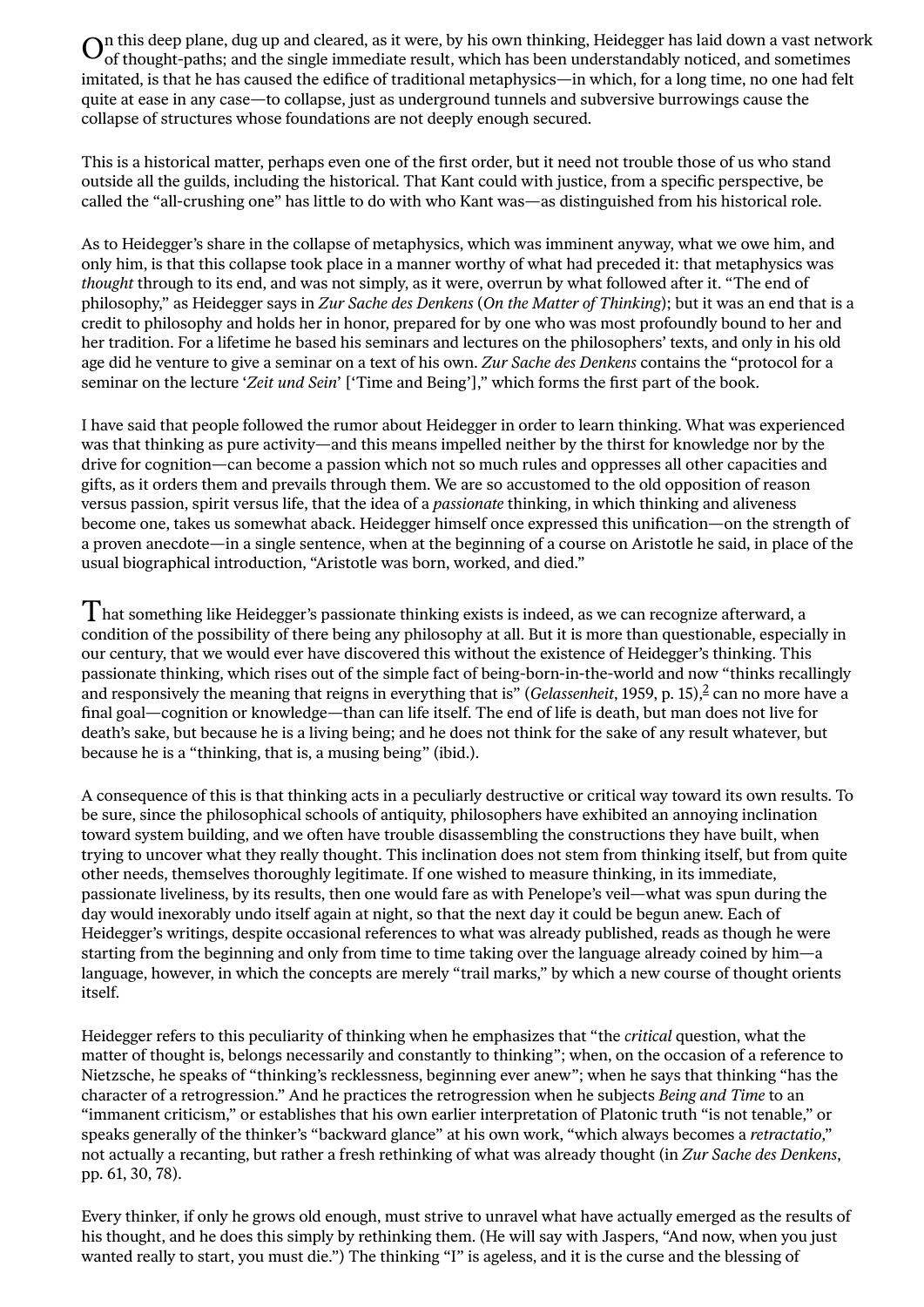$\mathrm{O}_\mathrm{of}$  this deep plane, dug up and cleared, as it were, by his own thinking, Heidegger has laid down a vast network<br>On thought-paths: and the single immediate result, which has been understandably noticed, and somet of thought-paths; and the single immediate result, which has been understandably noticed, and sometimes imitated, is that he has caused the edifice of traditional metaphysics—in which, for a long time, no one had felt quite at ease in any case—to collapse, just as underground tunnels and subversive burrowings cause the collapse of structures whose foundations are not deeply enough secured.

As to Heideger's share in the collapse of metaphysics, which was imminent anyway, what we owe him, and only him, is that this collapse took place in a manner worthy of what had preceded it: that metaphysics was thought through to its end, and was not simply, as it were, overrun by what followed after it. "The end of philosophy," as Heidegger says in Zur Sache des Denkens (On the Matter of Thinking); but it was an end that is a credit to philosophy and holds her in honor, prepared for by one who was most profoundly bound to her and her tradition. For a lifetime he based his seminars and lectures on the philosophers' texts, and only in his old age did he venture to give a seminar on a text of his own. Zur Sache des Denkens contains the "protocol for a seminar on the lecture 'Zeit und Sein' ['Time and Being']," which forms the first part of the book.

This is a historical matter, perhaps even one of the first order, but it need not trouble those of us who stand outside all the guilds, including the historical. That Kant could with justice, from a specific perspective, be called the "all-crushing one" has little to do with who Kant was—as distinguished from his historical role.

 $\rm T$ hat something like Heidegger's passionate thinking exists is indeed, as we can recognize afterward, a condition of the possibility of there being any philosophy at all. But it is more than questionable, especially in our century, that we would ever have discovered this without the existence of Heideger's thinking. This passionate thinking, which rises out of the simple fact of being-born-in-the-world and now "thinks recallingly and responsively the meaning that reigns in everything that is" (*Gelassenheit*, 1959, p. 15), <sup>[2](#page-5-1)</sup> can no more have a final goal—cognition or knowledge—than can life itself. The end of life is death, but man does not live for death's sake, but because he is a living being; and he does not think for the sake of any result whatever, but because he is a "thinking, that is, a musing being" (ibid.).

I have said that people followed the rumor about Heideger in order to learn thinking. What was experienced was that thinking as pure activity—and this means impelled neither by the thirst for knowledge nor by the drive for cognition—can become a passion which not so much rules and oppresses all other capacities and gifts, as it orders them and prevails through them. We are so accustomed to the old opposition of reason versus passion, spirit versus life, that the idea of a passionate thinking, in which thinking and aliveness become one, takes us somewhat aback. Heideger himself once expressed this unification—on the strength of a proven anecdote—in a single sentence, when at the beginning of a course on Aristotle he said, in place of the usual biographical introduction, "Aristotle was born, worked, and died."

A consequence of this is that thinking acts in a peculiarly destructive or critical way toward its own results. To be sure, since the philosophical schools of antiquity, philosophers have exhibited an annoying inclination toward system building, and we often have trouble disassembling the constructions they have built, when trying to uncover what they really thought. This inclination does not stem from thinking itself, but from quite other needs, themselves thoroughly legitimate. If one wished to measure thinking, in its immediate, passionate liveliness, by its results, then one would fare as with Penelope's veil—what was spun during the day would inexorably undo itself again at night, so that the next day it could be begun anew. Each of Heideger's writings, despite occasional references to what was already published, reads as though he were starting from the beginning and only from time to time taking over the language already coined by him—a language, however, in which the concepts are merely "trail marks," by which a new course of thought orients

#### itself.

Heideger refers to this peculiarity of thinking when he emphasizes that "the critical question, what the matter of thought is, belongs necessarily and constantly to thinking"; when, on the occasion of a reference to Nietzsche, he speaks of "thinking's recklessness, beginning ever anew"; when he says that thinking "has the character of a retrogression." And he practices the retrogression when he subjects Being and Time to an "immanent criticism," or establishes that his own earlier interpretation of Platonic truth "is not tenable," or speaks generally of the thinker's "backward glance" at his own work, "which always becomes a *retractatio*," not actually a recanting, but rather a fresh rethinking of what was already thought (in Zur Sache des Denkens, pp. 61, 30, 78).

Every thinker, if only he grows old enough, must strive to unravel what have actually emerged as the results of his thought, and he does this simply by rethinking them. (He will say with Jaspers, "And now, when you just wanted really to start, you must die.") The thinking "I" is ageless, and it is the curse and the blessing of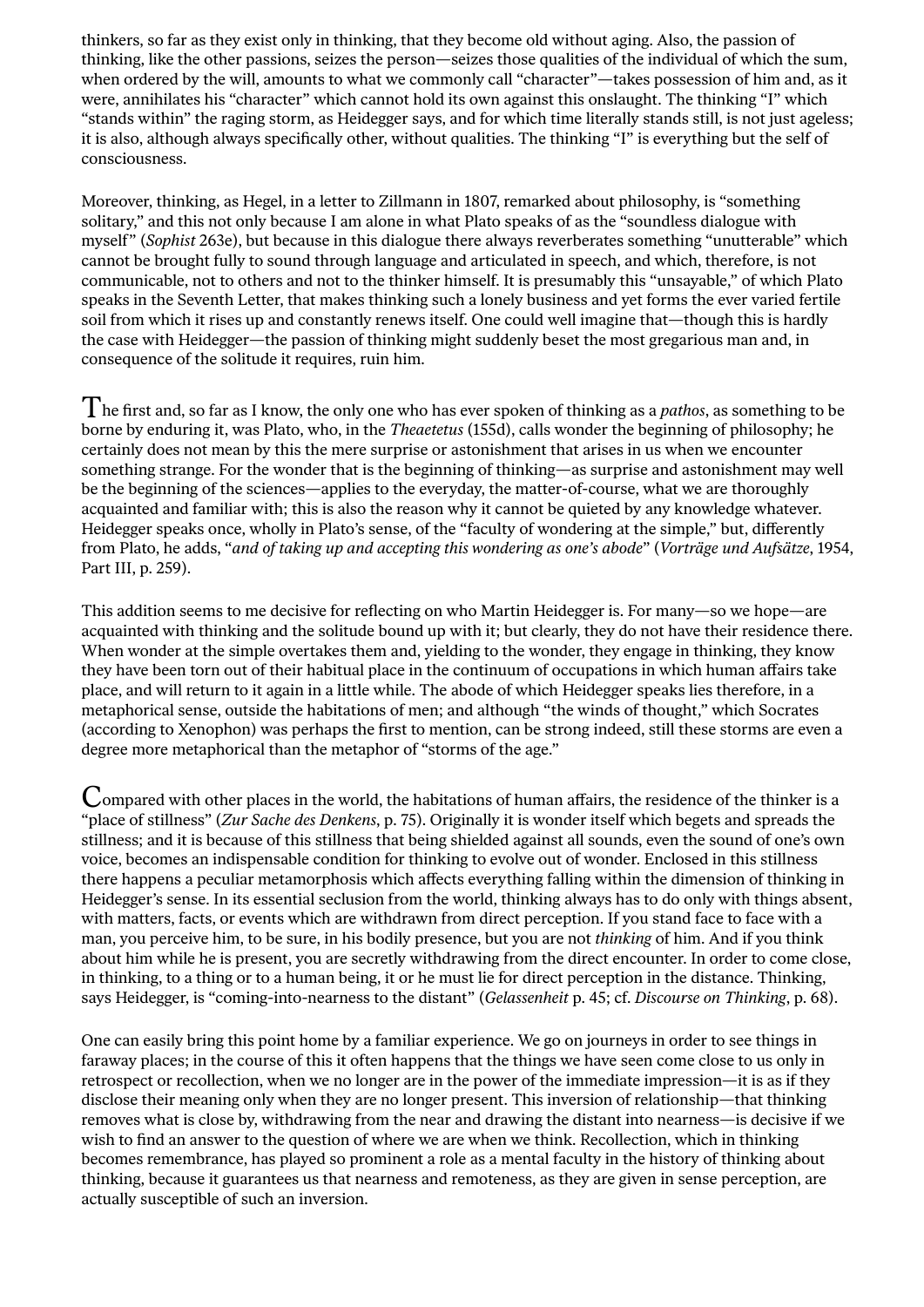thinkers, so far as they exist only in thinking, that they become old without aging. Also, the passion of thinking, like the other passions, seizes the person—seizes those qualities of the individual of which the sum, when ordered by the will, amounts to what we commonly call "character"—takes possession of him and, as it were, annihilates his "character" which cannot hold its own against this onslaught. The thinking "I" which "stands within" the raging storm, as Heidegger says, and for which time literally stands still, is not just ageless; it is also, although always specifically other, without qualities. The thinking "I" is everything but the self of consciousness.

Moreover, thinking, as Hegel, in a letter to Zillmann in 1807, remarked about philosophy, is "something solitary," and this not only because I am alone in what Plato speaks of as the "soundless dialogue with myself" (Sophist 263e), but because in this dialogue there always reverberates something "unutterable" which cannot be brought fully to sound through language and articulated in speech, and which, therefore, is not communicable, not to others and not to the thinker himself. It is presumably this "unsayable," of which Plato speaks in the Seventh Letter, that makes thinking such a lonely business and yet forms the ever varied fertile soil from which it rises up and constantly renews itself. One could well imagine that—though this is hardly the case with Heideger—the passion of thinking might suddenly beset the most gregarious man and, in consequence of the solitude it requires, ruin him.

The first and, so far as I know, the only one who has ever spoken of thinking as a *pathos*, as something to be borne by enduring it, was Plato, who, in the Theaetetus (155d), calls wonder the beginning of philosophy; he certainly does not mean by this the mere surprise or astonishment that arises in us when we encounter something strange. For the wonder that is the beginning of thinking—as surprise and astonishment may well be the beginning of the sciences—applies to the everyday, the matter-of-course, what we are thoroughly acquainted and familiar with; this is also the reason why it cannot be quieted by any knowledge whatever. Heidegger speaks once, wholly in Plato's sense, of the "faculty of wondering at the simple," but, differently from Plato, he adds, "and of taking up and accepting this wondering as one's abode" (Vorträge und Aufsätze, 1954, Part III, p. 259).

 $\bf{Compared}$  with other places in the world, the habitations of human affairs, the residence of the thinker is a "place of stillness" (Zur Sache des Denkens, p. 75). Originally it is wonder itself which begets and spreads the stillness; and it is because of this stillness that being shielded against all sounds, even the sound of one's own voice, becomes an indispensable condition for thinking to evolve out of wonder. Enclosed in this stillness there happens a peculiar metamorphosis which affects everything falling within the dimension of thinking in Heideger's sense. In its essential seclusion from the world, thinking always has to do only with things absent, with matters, facts, or events which are withdrawn from direct perception. If you stand face to face with a man, you perceive him, to be sure, in his bodily presence, but you are not thinking of him. And if you think about him while he is present, you are secretly withdrawing from the direct encounter. In order to come close, in thinking, to a thing or to a human being, it or he must lie for direct perception in the distance. Thinking,

says Heidegger, is "coming-into-nearness to the distant" (Gelassenheit p. 45; cf. Discourse on Thinking, p. 68).

This addition seems to me decisive for reflecting on who Martin Heideger is. For many—so we hope—are acquainted with thinking and the solitude bound up with it; but clearly, they do not have their residence there. When wonder at the simple overtakes them and, yielding to the wonder, they engage in thinking, they know they have been torn out of their habitual place in the continuum of occupations in which human affairs take place, and will return to it again in a little while. The abode of which Heidegger speaks lies therefore, in a metaphorical sense, outside the habitations of men; and although "the winds of thought," which Socrates (according to Xenophon) was perhaps the first to mention, can be strong indeed, still these storms are even a degree more metaphorical than the metaphor of "storms of the age."

One can easily bring this point home by a familiar experience. We go on journeys in order to see things in faraway places; in the course of this it often happens that the things we have seen come close to us only in retrospect or recollection, when we no longer are in the power of the immediate impression—it is as if they disclose their meaning only when they are no longer present. This inversion of relationship—that thinking removes what is close by, withdrawing from the near and drawing the distant into nearness—is decisive if we wish to find an answer to the question of where we are when we think. Recollection, which in thinking becomes remembrance, has played so prominent a role as a mental faculty in the history of thinking about thinking, because it guarantees us that nearness and remoteness, as they are given in sense perception, are actually susceptible of such an inversion.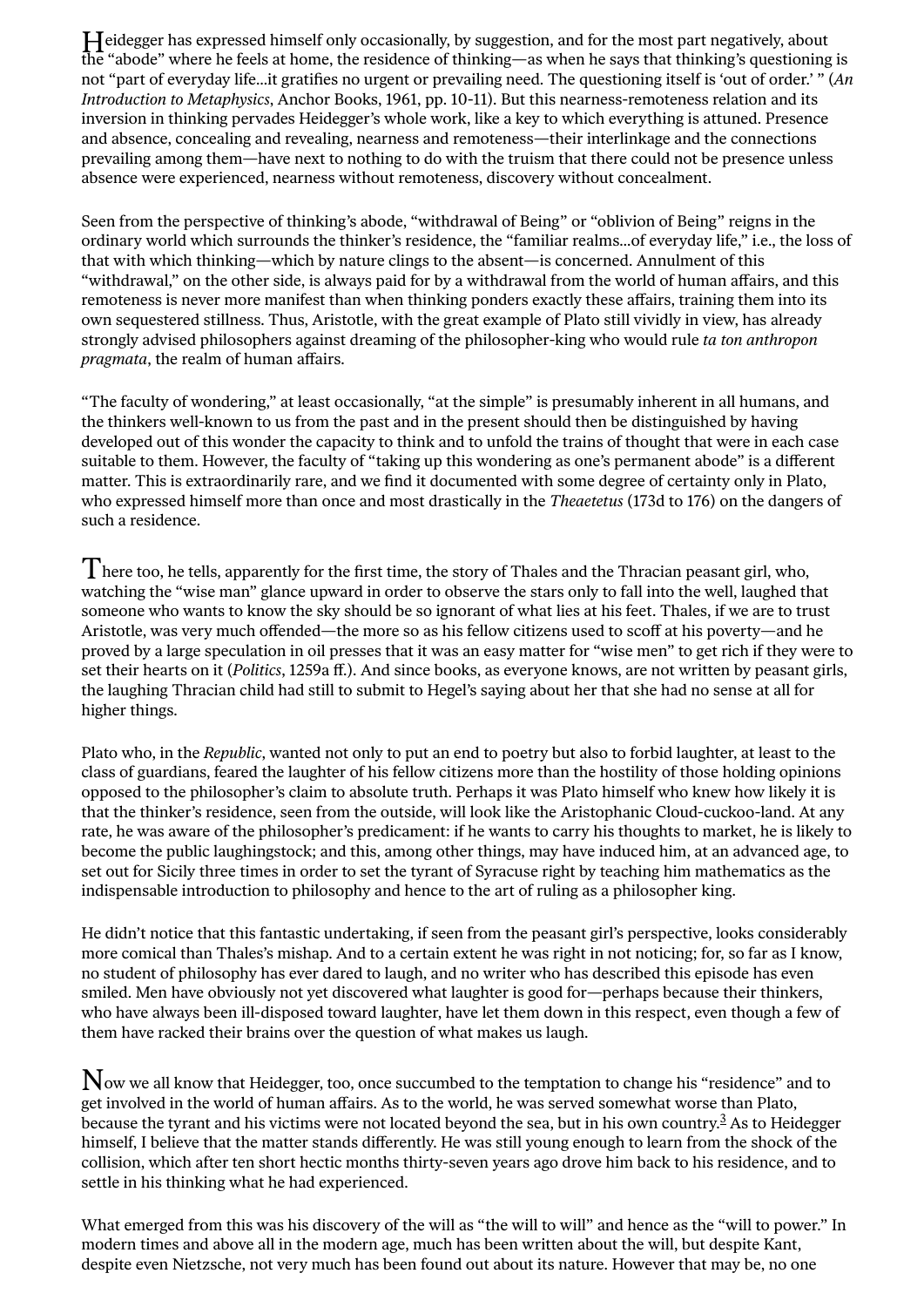H eidegger has expressed himself only occasionally, by suggestion, and for the most part negatively, about the "abode" where he fools at home the regidence of thinking as exumple says that thinking's questioning the "abode" where he feels at home, the residence of thinking—as when he says that thinking's questioning is not "part of everyday life...it gratifies no urgent or prevailing need. The questioning itself is 'out of order.' " (An Introduction to Metaphysics, Anchor Books, 1961, pp. 10-11). But this nearness-remoteness relation and its inversion in thinking pervades Heideger's whole work, like a key to which everything is attuned. Presence and absence, concealing and revealing, nearness and remoteness—their interlinkage and the connections prevailing among them—have next to nothing to do with the truism that there could not be presence unless absence were experienced, nearness without remoteness, discovery without concealment.

Seen from the perspective of thinking's abode, "withdrawal of Being" or "oblivion of Being" reigns in the ordinary world which surrounds the thinker's residence, the "familiar realms…of everyday life," i.e., the loss of that with which thinking—which by nature clings to the absent—is concerned. Annulment of this "withdrawal," on the other side, is always paid for by a withdrawal from the world of human affairs, and this remoteness is never more manifest than when thinking ponders exactly these affairs, training them into its own sequestered stillness. Thus, Aristotle, with the great example of Plato still vividly in view, has already strongly advised philosophers against dreaming of the philosopher-king who would rule ta ton anthropon *pragmata*, the realm of human affairs.

T here too, he tells, apparently for the first time, the story of Thales and the Thracian peasant girl, who, watching the "wise man" glance upward in order to observe the stars only to fall into the well, laughed that someone who wants to know the sky should be so ignorant of what lies at his feet. Thales, if we are to trust Aristotle, was very much offended—the more so as his fellow citizens used to scoff at his poverty—and he proved by a large speculation in oil presses that it was an easy matter for "wise men" to get rich if they were to set their hearts on it (Politics, 1259a ff.). And since books, as everyone knows, are not written by peasant girls, the laughing Thracian child had still to submit to Hegel's saying about her that she had no sense at all for higher things.

"The faculty of wondering," at least occasionally, "at the simple" is presumably inherent in all humans, and the thinkers well-known to us from the past and in the present should then be distinguished by having developed out of this wonder the capacity to think and to unfold the trains of thought that were in each case suitable to them. However, the faculty of "taking up this wondering as one's permanent abode" is a different matter. This is extraordinarily rare, and we find it documented with some degree of certainty only in Plato, who expressed himself more than once and most drastically in the *Theaetetus* (173d to 176) on the dangers of such a residence.

 $\mathbf N$ ow we all know that Heidegger, too, once succumbed to the temptation to change his "residence" and to get involved in the world of human affairs. As to the world, he was served somewhat worse than Plato, because the tyrant and his victims were not located beyond the sea, but in his own country. $^3$  $^3$  As to Heidegger himself, I believe that the matter stands differently. He was still young enough to learn from the shock of the collision, which after ten short hectic months thirty-seven years ago drove him back to his residence, and to settle in his thinking what he had experienced.

What emerged from this was his discovery of the will as "the will to will" and hence as the "will to power." In modern times and above all in the modern age, much has been written about the will, but despite Kant, despite even Nietzsche, not very much has been found out about its nature. However that may be, no one

Plato who, in the Republic, wanted not only to put an end to poetry but also to forbid laughter, at least to the class of guardians, feared the laughter of his fellow citizens more than the hostility of those holding opinions opposed to the philosopher's claim to absolute truth. Perhaps it was Plato himself who knew how likely it is that the thinker's residence, seen from the outside, will look like the Aristophanic Cloud-cuckoo-land. At any rate, he was aware of the philosopher's predicament: if he wants to carry his thoughts to market, he is likely to become the public laughingstock; and this, among other things, may have induced him, at an advanced age, to set out for Sicily three times in order to set the tyrant of Syracuse right by teaching him mathematics as the indispensable introduction to philosophy and hence to the art of ruling as a philosopher king.

He didn't notice that this fantastic undertaking, if seen from the peasant girl's perspective, looks considerably more comical than Thales's mishap. And to a certain extent he was right in not noticing; for, so far as I know, no student of philosophy has ever dared to laugh, and no writer who has described this episode has even smiled. Men have obviously not yet discovered what laughter is good for—perhaps because their thinkers, who have always been ill-disposed toward laughter, have let them down in this respect, even though a few of them have racked their brains over the question of what makes us laugh.